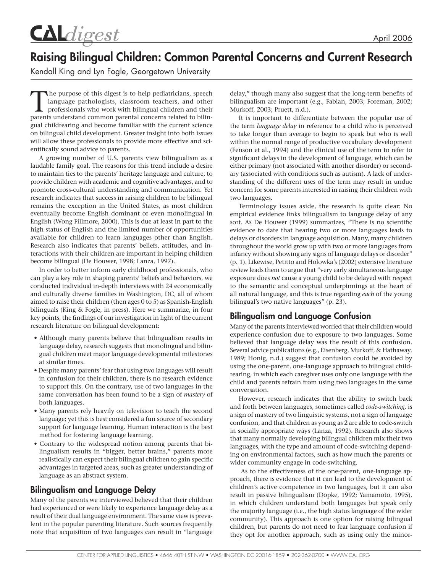CALdigest

# Raising Bilingual Children: Common Parental Concerns and Current Research

Kendall King and Lyn Fogle, Georgetown University

The purpose of this digest is to help pediatricians, speech<br>language pathologists, classroom teachers, and other<br>professionals who work with bilingual children and their<br>parents understand common parental concerns related language pathologists, classroom teachers, and other parents understand common parental concerns related to bilingual childrearing and become familiar with the current science on bilingual child development. Greater insight into both issues will allow these professionals to provide more effective and scientifically sound advice to parents.

A growing number of U.S. parents view bilingualism as a laudable family goal. The reasons for this trend include a desire to maintain ties to the parents' heritage language and culture, to provide children with academic and cognitive advantages, and to promote cross-cultural understanding and communication. Yet research indicates that success in raising children to be bilingual remains the exception in the United States, as most children eventually become English dominant or even monolingual in English (Wong Fillmore, 2000). This is due at least in part to the high status of English and the limited number of opportunities available for children to learn languages other than English. Research also indicates that parents' beliefs, attitudes, and interactions with their children are important in helping children become bilingual (De Houwer, 1998; Lanza, 1997).

In order to better inform early childhood professionals, who can play a key role in shaping parents' beliefs and behaviors, we conducted individual in-depth interviews with 24 economically and culturally diverse families in Washington, DC, all of whom aimed to raise their children (then ages 0 to 5) as Spanish-English bilinguals (King & Fogle, in press). Here we summarize, in four key points, the findings of our investigation in light of the current research literature on bilingual development:

- Although many parents believe that bilingualism results in language delay, research suggests that monolingual and bilingual children meet major language developmental milestones at similar times.
- Despite many parents' fear that using two languages will result in confusion for their children, there is no research evidence to support this. On the contrary, use of two languages in the same conversation has been found to be a sign of *mastery* of both languages.
- Many parents rely heavily on television to teach the second language; yet this is best considered a fun source of secondary support for language learning. Human interaction is the best method for fostering language learning.
- Contrary to the widespread notion among parents that bilingualism results in "bigger, better brains," parents more realistically can expect their bilingual children to gain specific advantages in targeted areas, such as greater understanding of language as an abstract system.

## Bilingualism and Language Delay

Many of the parents we interviewed believed that their children had experienced or were likely to experience language delay as a result of their dual language environment. The same view is prevalent in the popular parenting literature. Such sources frequently note that acquisition of two languages can result in "language delay," though many also suggest that the long-term benefits of bilingualism are important (e.g., Fabian, 2003; Foreman, 2002; Murkoff, 2003; Pruett, n.d.).

It is important to differentiate between the popular use of the term *language delay* in reference to a child who is perceived to take longer than average to begin to speak but who is well within the normal range of productive vocabulary development (Fenson et al., 1994) and the clinical use of the term to refer to significant delays in the development of language, which can be either primary (not associated with another disorder) or secondary (associated with conditions such as autism). A lack of understanding of the different uses of the term may result in undue concern for some parents interested in raising their children with two languages.

Terminology issues aside, the research is quite clear: No empirical evidence links bilingualism to language delay of any sort. As De Houwer (1999) summarizes, "There is no scientific evidence to date that hearing two or more languages leads to delays or disorders in language acquisition. Many, many children throughout the world grow up with two or more languages from infancy without showing any signs of language delays or disorder" (p. 1). Likewise, Petitto and Holowka's (2002) extensive literature review leads them to argue that "very early simultaneous language exposure does *not* cause a young child to be delayed with respect to the semantic and conceptual underpinnings at the heart of all natural language, and this is true regarding *each* of the young bilingual's two native languages" (p. 23).

## Bilingualism and Language Confusion

Many of the parents interviewed worried that their children would experience confusion due to exposure to two languages. Some believed that language delay was the result of this confusion. Several advice publications (e.g., Eisenberg, Murkoff, & Hathaway, 1989; Honig, n.d.) suggest that confusion could be avoided by using the one-parent, one-language approach to bilingual childrearing, in which each caregiver uses only one language with the child and parents refrain from using two languages in the same conversation.

However, research indicates that the ability to switch back and forth between languages, sometimes called *code-switching,* is a sign of mastery of two linguistic systems, not a sign of language confusion, and that children as young as 2 are able to code-switch in socially appropriate ways (Lanza, 1992). Research also shows that many normally developing bilingual children mix their two languages, with the type and amount of code-switching depending on environmental factors, such as how much the parents or wider community engage in code-switching.

As to the effectiveness of the one-parent, one-language approach, there is evidence that it can lead to the development of children's active competence in two languages, but it can also result in passive bilingualism (Döpke, 1992; Yamamoto, 1995), in which children understand both languages but speak only the majority language (i.e., the high status language of the wider community). This approach is one option for raising bilingual children, but parents do not need to fear language confusion if they opt for another approach, such as using only the minor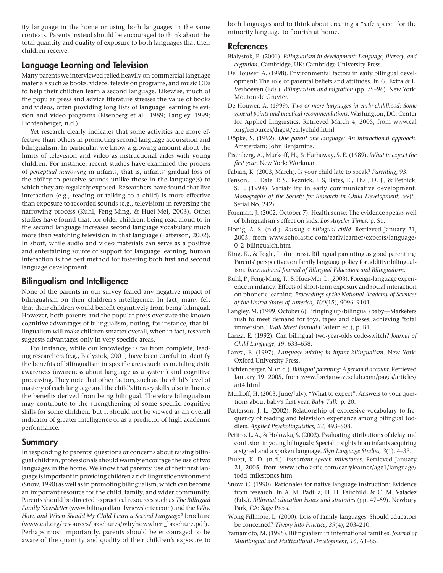ity language in the home or using both languages in the same contexts. Parents instead should be encouraged to think about the total quantity and quality of exposure to both languages that their children receive.

#### Language Learning and Television

Many parents we interviewed relied heavily on commercial language materials such as books, videos, television programs, and music CDs to help their children learn a second language. Likewise, much of the popular press and advice literature stresses the value of books and videos, often providing long lists of language learning television and video programs (Eisenberg et al., 1989; Langley, 1999; Lichtenberger, n.d.).

Yet research clearly indicates that some activities are more effective than others in promoting second language acquisition and bilingualism. In particular, we know a growing amount about the limits of television and video as instructional aides with young children. For instance, recent studies have examined the process of *perceptual narrowing* in infants, that is, infants' gradual loss of the ability to perceive sounds unlike those in the language(s) to which they are regularly exposed. Researchers have found that live interaction (e.g., reading or talking to a child) is more effective than exposure to recorded sounds (e.g., television) in reversing the narrowing process (Kuhl, Feng-Ming, & Huei-Mei, 2003). Other studies have found that, for older children, being read aloud to in the second language increases second language vocabulary much more than watching television in that language (Patterson, 2002). In short, while audio and video materials can serve as a positive and entertaining source of support for language learning, human interaction is the best method for fostering both first and second language development.

### Bilingualism and Intelligence

None of the parents in our survey feared any negative impact of bilingualism on their children's intelligence. In fact, many felt that their children would benefit cognitively from being bilingual. However, both parents and the popular press overstate the known cognitive advantages of bilingualism, noting, for instance, that bilingualism will make children smarter overall, when in fact, research suggests advantages only in very specific areas.

For instance, while our knowledge is far from complete, leading researchers (e.g., Bialystok, 2001) have been careful to identify the benefits of bilingualism in specific areas such as metalinguistic awareness (awareness about language as a system) and cognitive processing. They note that other factors, such as the child's level of mastery of each language and the child's literacy skills, also influence the benefits derived from being bilingual. Therefore bilingualism may contribute to the strengthening of some specific cognitive skills for some children, but it should not be viewed as an overall indicator of greater intelligence or as a predictor of high academic performance.

#### Summary

In responding to parents' questions or concerns about raising bilingual children, professionals should warmly encourage the use of two languages in the home. We know that parents' use of their first language is important in providing children a rich linguistic environment (Snow, 1990) as well as in promoting bilingualism, which can become an important resource for the child, family, and wider community. Parents should be directed to practical resources such as *The Bilingual Family Newsletter* (www.bilingualfamilynewsletter.com) and the *Why, How, and When Should My Child Learn a Second Language?* brochure (www.cal.org/resources/brochures/whyhowwhen\_brochure.pdf). Perhaps most importantly, parents should be encouraged to be aware of the quantity and quality of their children's exposure to

both languages and to think about creating a "safe space" for the minority language to flourish at home.

#### References

- Bialystok, E. (2001). *Bilingualism in development: Language, literacy, and cognition*. Cambridge, UK: Cambridge University Press.
- De Houwer, A. (1998). Environmental factors in early bilingual development: The role of parental beliefs and attitudes. In G. Extra & L. Verhoeven (Eds.), *Bilingualism and migration* (pp. 75–96). New York: Mouton de Gruyter.
- De Houwer, A. (1999). *Two or more languages in early childhood: Some general points and practical recommendations*. Washington, DC: Center for Applied Linguistics. Retrieved March 4, 2005, from www.cal .org/resources/digest/earlychild.html
- Döpke, S. (1992). *One parent one language: An interactional approach*. Amsterdam: John Benjamins.
- Eisenberg, A., Murkoff, H., & Hathaway, S. E. (1989). *What to expect the first year*. New York: Workman.
- Fabian, K. (2003, March). Is your child late to speak? *Parenting*, 93.
- Fenson, L., Dale, P. S., Reznick, J. S, Bates, E., Thal, D. J., & Pethick, S. J. (1994). Variability in early communicative development. *Monographs of the Society for Research in Child Development, 59*(5, Serial No. 242).
- Foreman, J. (2002, October 7). Health sense: The evidence speaks well of bilingualism's effect on kids. *Los Angeles Times*, p. S1.
- Honig, A. S. (n.d.). *Raising a bilingual child*. Retrieved January 21, 2005, from www.scholastic.com/earlylearner/experts/language/ 0\_2\_bilingualch.htm
- King, K., & Fogle, L. (in press). Bilingual parenting as good parenting: Parents' perspectives on family language policy for additive bilingualism. *International Journal of Bilingual Education and Bilingualism.*
- Kuhl, P., Feng-Ming, T., & Huei-Mei, L. (2003). Foreign-language experience in infancy: Effects of short-term exposure and social interaction on phonetic learning. *Proceedings of the National Academy of Sciences of the United States of America, 100*(15), 9096–9101.
- Langley, M. (1999, October 6). Bringing up (bilingual) baby—Marketers rush to meet demand for toys, tapes and classes; achieving "total immersion." *Wall Street Journal* (Eastern ed.), p. B1.
- Lanza, E. (1992). Can bilingual two-year-olds code-switch? *Journal of Child Language, 19*, 633–658.
- Lanza, E. (1997). *Language mixing in infant bilingualism*. New York: Oxford University Press.
- Lichtenberger, N. (n.d.). *Bilingual parenting: A personal account.* Retrieved January 19, 2005, from www.foreignwivesclub.com/pages/articles/ art4.html
- Murkoff, H. (2003, June/July). "What to expect": Answers to your questions about baby's first year. *Baby Talk*, p. 20.
- Patterson, J. L. (2002). Relationship of expressive vocabulary to frequency of reading and television experience among bilingual toddlers. *Applied Psycholinguistics, 23*, 493–508.
- Petitto, L. A., & Holowka, S. (2002). Evaluating attributions of delay and confusion in young bilinguals: Special insights from infants acquiring a signed and a spoken language*. Sign Language Studies, 3*(1), 4–33.
- Pruett, K. D. (n.d.). *Important speech milestones*. Retrieved January 21, 2005, from www.scholastic.com/earlylearner/age1/language/ todd\_milestones.htm
- Snow, C. (1990). Rationales for native language instruction: Evidence from research. In A. M. Padilla, H. H. Fairchild, & C. M. Valadez (Eds.), *Bilingual education issues and strategies* (pp. 47–59). Newbury Park, CA: Sage Press.
- Wong Fillmore, L. (2000). Loss of family languages: Should educators be concerned? *Theory into Practice, 39*(4), 203–210.
- Yamamoto, M. (1995). Bilingualism in international families. *Journal of Multilingual and Multicultural Development, 16*, 63–85.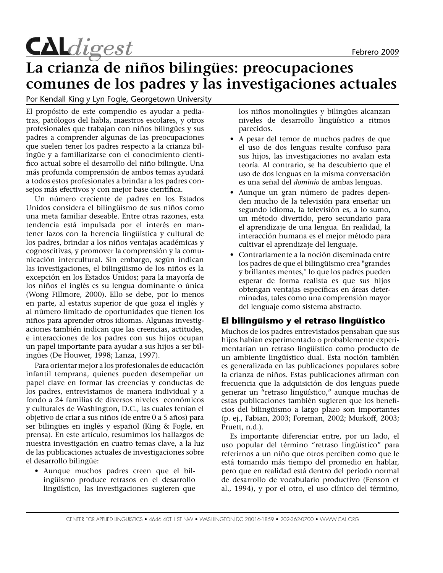

# **La crianza de niños bilingües: preocupaciones comunes de los padres y las investigaciones actuales**

Por Kendall King y Lyn Fogle, Georgetown University

El propósito de este compendio es ayudar a pediatras, patólogos del habla, maestros escolares, y otros profesionales que trabajan con niños bilingües y sus padres a comprender algunas de las preocupaciones que suelen tener los padres respecto a la crianza bilingüe y a familiarizarse con el conocimiento científico actual sobre el desarrollo del niño bilingüe. Una más profunda comprensión de ambos temas ayudará a todos estos profesionales a brindar a los padres consejos más efectivos y con mejor base científica.

Un número creciente de padres en los Estados Unidos considera el bilingüismo de sus niños como una meta familiar deseable. Entre otras razones, esta tendencia está impulsada por el interés en mantener lazos con la herencia lingüística y cultural de los padres, brindar a los niños ventajas académicas y cognoscitivas, y promover la comprensión y la comunicación intercultural. Sin embargo, según indican las investigaciones, el bilingüismo de los niños es la excepción en los Estados Unidos; para la mayoría de los niños el inglés es su lengua dominante o única (Wong Fillmore, 2000). Ello se debe, por lo menos en parte, al estatus superior de que goza el inglés y al número limitado de oportunidades que tienen los niños para aprender otros idiomas. Algunas investigaciones también indican que las creencias, actitudes, e interacciones de los padres con sus hijos ocupan un papel importante para ayudar a sus hijos a ser bilingües (De Houwer, 1998; Lanza, 1997).

Para orientar mejor a los profesionales de educación infantil temprana, quienes pueden desempeñar un papel clave en formar las creencias y conductas de los padres, entrevistamos de manera individual y a fondo a 24 familias de diversos niveles económicos y culturales de Washington, D.C., las cuales tenían el objetivo de criar a sus niños (de entre 0 a 5 años) para ser bilingües en inglés y español (King & Fogle, en prensa). En este artículo, resumimos los hallazgos de nuestra investigación en cuatro temas clave, a la luz de las publicaciones actuales de investigaciones sobre el desarrollo bilingüe:

Aunque muchos padres creen que el bil-• ingüismo produce retrasos en el desarrollo lingüístico, las investigaciones sugieren que los niños monolingües y bilingües alcanzan niveles de desarrollo lingüístico a ritmos parecidos.

- A pesar del temor de muchos padres de que el uso de dos lenguas resulte confuso para sus hijos, las investigaciones no avalan esta teoría. Al contrario, se ha descubierto que el uso de dos lenguas en la misma conversación es una señal del *dominio* de ambas lenguas.
- Aunque un gran número de padres depen-• den mucho de la televisión para enseñar un segundo idioma, la televisión es, a lo sumo, un método divertido, pero secundario para el aprendizaje de una lengua. En realidad, la interacción humana es el mejor método para cultivar el aprendizaje del lenguaje.
- Contrariamente a la noción diseminada entre •los padres de que el bilingüismo crea "grandes y brillantes mentes," lo que los padres pueden esperar de forma realista es que sus hijos obtengan ventajas específicas en áreas determinadas, tales como una comprensión mayor del lenguaje como sistema abstracto.

#### **El bilingüismo y el retraso lingüístico**

Muchos de los padres entrevistados pensaban que sus hijos habían experimentado o probablemente experimentarían un retraso lingüístico como producto de un ambiente lingüístico dual. Esta noción también es generalizada en las publicaciones populares sobre la crianza de niños. Estas publicaciones afirman con frecuencia que la adquisición de dos lenguas puede generar un "retraso lingüístico," aunque muchas de estas publicaciones también sugieren que los beneficios del bilingüismo a largo plazo son importantes (p. ej., Fabian, 2003; Foreman, 2002; Murkoff, 2003; Pruett, n.d.).

Es importante diferenciar entre, por un lado, el uso popular del término "retraso lingüístico" para referirnos a un niño que otros perciben como que le está tomando más tiempo del promedio en hablar, pero que en realidad está dentro del período normal de desarrollo de vocabulario productivo (Fenson et al., 1994), y por el otro, el uso clínico del término,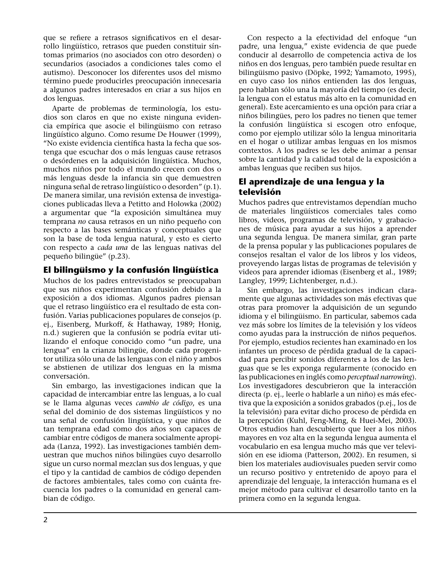que se refiere a retrasos significativos en el desarrollo lingüístico, retrasos que pueden constituir síntomas primarios (no asociados con otro desorden) o secundarios (asociados a condiciones tales como el autismo). Desconocer los diferentes usos del mismo término puede producirles preocupación innecesaria a algunos padres interesados en criar a sus hijos en dos lenguas.

Aparte de problemas de terminología, los estudios son claros en que no existe ninguna evidencia empírica que asocie el bilingüismo con retraso lingüístico alguno. Como resume De Houwer (1999), "No existe evidencia científica hasta la fecha que sostenga que escuchar dos o más lenguas cause retrasos o desórdenes en la adquisición lingüística. Muchos, muchos niños por todo el mundo crecen con dos o más lenguas desde la infancia sin que demuestren ninguna señal de retraso lingüístico o desorden" (p.1). De manera similar, una revisión extensa de investigaciones publicadas lleva a Petitto and Holowka (2002) a argumentar que "la exposición simultánea muy temprana *no* causa retrasos en un niño pequeño con respecto a las bases semánticas y conceptuales que son la base de toda lengua natural, y esto es cierto con respecto a *cada una* de las lenguas nativas del pequeño bilingüe" (p.23).

### **El bilingüismo y la confusión lingüística**

Muchos de los padres entrevistados se preocupaban que sus niños experimentan confusión debido a la exposición a dos idiomas. Algunos padres piensan que el retraso lingüístico era el resultado de esta confusión. Varias publicaciones populares de consejos (p. ej., Eisenberg, Murkoff, & Hathaway, 1989; Honig, n.d.) sugieren que la confusión se podría evitar utilizando el enfoque conocido como "un padre, una lengua" en la crianza bilingüe, donde cada progenitor utiliza sólo una de las lenguas con el niño y ambos se abstienen de utilizar dos lenguas en la misma conversación.

Sin embargo, las investigaciones indican que la capacidad de intercambiar entre las lenguas, a lo cual se le llama algunas veces *cambio de código*, es una señal del dominio de dos sistemas lingüísticos y no una señal de confusión lingüística, y que niños de tan temprana edad como dos años son capaces de cambiar entre códigos de manera socialmente apropiada (Lanza, 1992). Las investigaciones también demuestran que muchos niños bilingües cuyo desarrollo sigue un curso normal mezclan sus dos lenguas, y que el tipo y la cantidad de cambios de código dependen de factores ambientales, tales como con cuánta frecuencia los padres o la comunidad en general cambian de código.

Con respecto a la efectividad del enfoque "un padre, una lengua," existe evidencia de que puede conducir al desarrollo de competencia activa de los niños en dos lenguas, pero también puede resultar en bilingüismo pasivo (Döpke, 1992; Yamamoto, 1995), en cuyo caso los niños entienden las dos lenguas, pero hablan sólo una la mayoría del tiempo (es decir, la lengua con el estatus más alto en la comunidad en general). Este acercamiento es una opción para criar a niños bilingües, pero los padres no tienen que temer la confusión lingüística si escogen otro enfoque, como por ejemplo utilizar sólo la lengua minoritaria en el hogar o utilizar ambas lenguas en los mismos contextos. A los padres se les debe animar a pensar sobre la cantidad y la calidad total de la exposición a ambas lenguas que reciben sus hijos.

#### **El aprendizaje de una lengua y la televisión**

Muchos padres que entrevistamos dependían mucho de materiales lingüísticos comerciales tales como libros, videos, programas de televisión, y grabaciones de música para ayudar a sus hijos a aprender una segunda lengua. De manera similar, gran parte de la prensa popular y las publicaciones populares de consejos resaltan el valor de los libros y los videos, proveyendo largas listas de programas de televisión y videos para aprender idiomas (Eisenberg et al., 1989; Langley, 1999; Lichtenberger, n.d.).

Sin embargo, las investigaciones indican claramente que algunas actividades son más efectivas que otras para promover la adquisición de un segundo idioma y el bilingüismo. En particular, sabemos cada vez más sobre los límites de la televisión y los vídeos como ayudas para la instrucción de niños pequeños. Por ejemplo, estudios recientes han examinado en los infantes un proceso de pérdida gradual de la capacidad para percibir sonidos diferentes a los de las lenguas que se les exponga regularmente (conocido en las publicaciones en inglés como *perceptual narrowing*). Los investigadores descubrieron que la interacción directa (p. ej., leerle o hablarle a un niño) es más efectiva que la exposición a sonidos grabados (p.ej., los de la televisión) para evitar dicho proceso de pérdida en la percepción (Kuhl, Feng-Ming, & Huei-Mei, 2003). Otros estudios han descubierto que leer a los niños mayores en voz alta en la segunda lengua aumenta el vocabulario en esa lengua mucho más que ver televisión en ese idioma (Patterson, 2002). En resumen, si bien los materiales audiovisuales pueden servir como un recurso positivo y entretenido de apoyo para el aprendizaje del lenguaje, la interacción humana es el mejor método para cultivar el desarrollo tanto en la primera como en la segunda lengua.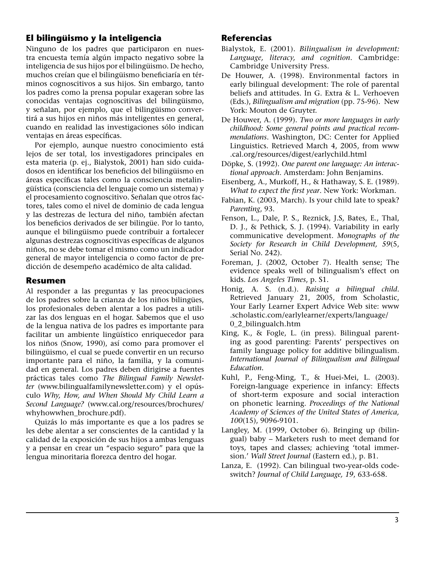## **El bilingüismo y la inteligencia**

Ninguno de los padres que participaron en nuestra encuesta temía algún impacto negativo sobre la inteligencia de sus hijos por el bilingüismo. De hecho, muchos creían que el bilingüismo beneficiaría en términos cognoscitivos a sus hijos. Sin embargo, tanto los padres como la prensa popular exageran sobre las conocidas ventajas cognoscitivas del bilingüismo, y señalan, por ejemplo, que el bilingüismo convertirá a sus hijos en niños más inteligentes en general, cuando en realidad las investigaciones sólo indican ventajas en áreas específicas.

Por ejemplo, aunque nuestro conocimiento está lejos de ser total, los investigadores principales en esta materia (p. ej., Bialystok, 2001) han sido cuidadosos en identificar los beneficios del bilingüismo en áreas específicas tales como la consciencia metalingüística (consciencia del lenguaje como un sistema) y el procesamiento cognoscitivo. Señalan que otros factores, tales como el nivel de dominio de cada lengua y las destrezas de lectura del niño, también afectan los beneficios derivados de ser bilingüe. Por lo tanto, aunque el bilingüismo puede contribuir a fortalecer algunas destrezas cognoscitivas específicas de algunos niños, no se debe tomar el mismo como un indicador general de mayor inteligencia o como factor de predicción de desempeño académico de alta calidad.

#### **Resumen**

Al responder a las preguntas y las preocupaciones de los padres sobre la crianza de los niños bilingües, los profesionales deben alentar a los padres a utilizar las dos lenguas en el hogar. Sabemos que el uso de la lengua nativa de los padres es importante para facilitar un ambiente lingüístico enriquecedor para los niños (Snow, 1990), así como para promover el bilingüismo, el cual se puede convertir en un recurso importante para el niño, la familia, y la comunidad en general. Los padres deben dirigirse a fuentes prácticas tales como *The Bilingual Family Newsletter* (www.bilingualfamilynewsletter.com) y el opúsculo *Why, How, and When Should My Child Learn a Second Language?* (www.cal.org/resources/brochures/ whyhowwhen brochure.pdf).

Quizás lo más importante es que a los padres se les debe alentar a ser conscientes de la cantidad y la calidad de la exposición de sus hijos a ambas lenguas y a pensar en crear un "espacio seguro" para que la lengua minoritaria florezca dentro del hogar.

#### **Referencias**

- Bialystok, E. (2001). *Bilingualism in development: Language, literacy, and cognition*. Cambridge: Cambridge University Press.
- De Houwer, A. (1998). Environmental factors in early bilingual development: The role of parental beliefs and attitudes. In G. Extra & L. Verhoeven (Eds.), *Bilingualism and migration* (pp. 75-96). New York: Mouton de Gruyter.
- De Houwer, A. (1999). *Two or more languages in early childhood: Some general points and practical recommendations*. Washington, DC: Center for Applied Linguistics. Retrieved March 4, 2005, from www .cal.org/resources/digest/earlychild.html
- Döpke, S. (1992). *One parent one language: An interactional approach*. Amsterdam: John Benjamins.
- Eisenberg, A., Murkoff, H., & Hathaway, S. E. (1989). *What to expect the first year*. New York: Workman.
- Fabian, K. (2003, March). Is your child late to speak? *Parenting*, 93.
- Fenson, L., Dale, P. S., Reznick, J.S, Bates, E., Thal, D. J., & Pethick, S. J. (1994). Variability in early communicative development. *Monographs of the Society for Research in Child Development, 59*(5, Serial No. 242).
- Foreman, J. (2002, October 7). Health sense; The evidence speaks well of bilingualism's effect on kids. *Los Angeles Times*, p. S1.
- Honig, A. S. (n.d.). *Raising a bilingual child*. Retrieved January 21, 2005, from Scholastic, Your Early Learner Expert Advice Web site: www .scholastic.com/earlylearner/experts/language/ 0\_2\_bilingualch.htm
- King, K., & Fogle, L. (in press). Bilingual parenting as good parenting: Parents' perspectives on family language policy for additive bilingualism. *International Journal of Bilingualism and Bilingual Education.*
- Kuhl, P., Feng-Ming, T., & Huei-Mei, L. (2003). Foreign-language experience in infancy: Effects of short-term exposure and social interaction on phonetic learning. *Proceedings of the National Academy of Sciences of the United States of America, 100*(15), 9096-9101.
- Langley, M. (1999, October 6). Bringing up (bilingual) baby – Marketers rush to meet demand for toys, tapes and classes; achieving 'total immersion.' *Wall Street Journal* (Eastern ed.), p. B1.
- Lanza, E. (1992). Can bilingual two-year-olds codeswitch? *Journal of Child Language, 19*, 633-658.